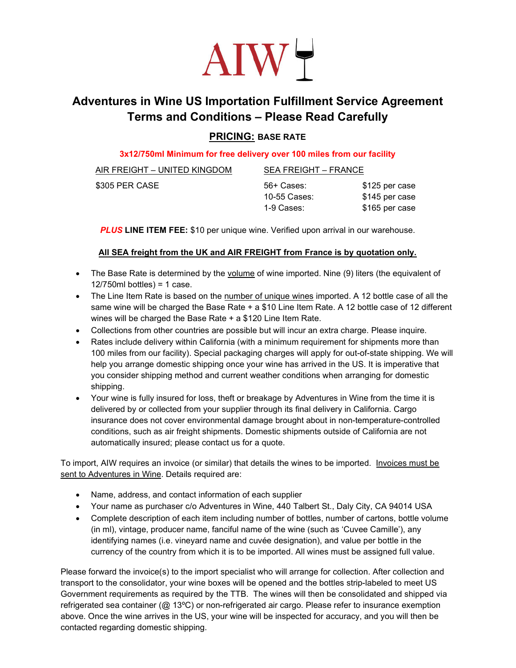

# Adventures in Wine US Importation Fulfillment Service Agreement Terms and Conditions – Please Read Carefully

## PRICING: BASE RATE

#### 3x12/750ml Minimum for free delivery over 100 miles from our facility

| AIR FREIGHT – UNITED KINGDOM | SEA FREIGHT – FRANCE |                |
|------------------------------|----------------------|----------------|
| \$305 PER CASE               | 56+ Cases:           | \$125 per case |
|                              | 10-55 Cases:         | \$145 per case |
|                              | 1-9 Cases:           | \$165 per case |

**PLUS LINE ITEM FEE:** \$10 per unique wine. Verified upon arrival in our warehouse.

### All SEA freight from the UK and AIR FREIGHT from France is by quotation only.

- The Base Rate is determined by the volume of wine imported. Nine (9) liters (the equivalent of  $12/750$ ml bottles) = 1 case.
- The Line Item Rate is based on the number of unique wines imported. A 12 bottle case of all the same wine will be charged the Base Rate + a \$10 Line Item Rate. A 12 bottle case of 12 different wines will be charged the Base Rate + a \$120 Line Item Rate.
- Collections from other countries are possible but will incur an extra charge. Please inquire.
- Rates include delivery within California (with a minimum requirement for shipments more than 100 miles from our facility). Special packaging charges will apply for out-of-state shipping. We will help you arrange domestic shipping once your wine has arrived in the US. It is imperative that you consider shipping method and current weather conditions when arranging for domestic shipping.
- Your wine is fully insured for loss, theft or breakage by Adventures in Wine from the time it is delivered by or collected from your supplier through its final delivery in California. Cargo insurance does not cover environmental damage brought about in non-temperature-controlled conditions, such as air freight shipments. Domestic shipments outside of California are not automatically insured; please contact us for a quote.

To import, AIW requires an invoice (or similar) that details the wines to be imported. Invoices must be sent to Adventures in Wine. Details required are:

- Name, address, and contact information of each supplier
- Your name as purchaser c/o Adventures in Wine, 440 Talbert St., Daly City, CA 94014 USA
- Complete description of each item including number of bottles, number of cartons, bottle volume (in ml), vintage, producer name, fanciful name of the wine (such as 'Cuvee Camille'), any identifying names (i.e. vineyard name and cuvée designation), and value per bottle in the currency of the country from which it is to be imported. All wines must be assigned full value.

Please forward the invoice(s) to the import specialist who will arrange for collection. After collection and transport to the consolidator, your wine boxes will be opened and the bottles strip-labeled to meet US Government requirements as required by the TTB. The wines will then be consolidated and shipped via refrigerated sea container (@ 13ºC) or non-refrigerated air cargo. Please refer to insurance exemption above. Once the wine arrives in the US, your wine will be inspected for accuracy, and you will then be contacted regarding domestic shipping.